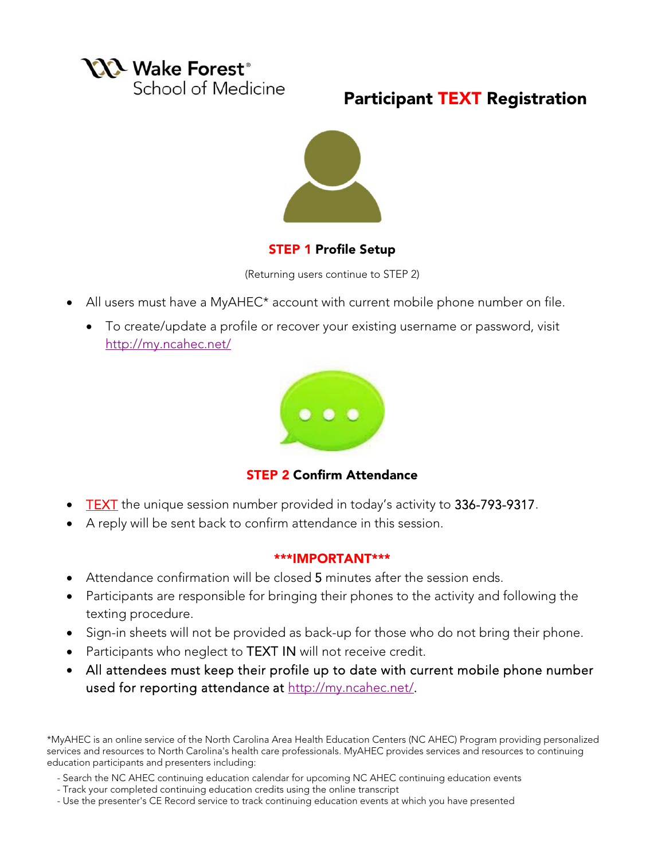

# Participant TEXT Registration



### STEP 1 Profile Setup

(Returning users continue to STEP 2)

- All users must have a MyAHEC\* account with current mobile phone number on file.
	- To create/update a profile or recover your existing username or password, visit http://my.ncahec.net/



STEP 2 Confirm Attendance

- TEXT the unique session number provided in today's activity to 336-793-9317.
- A reply will be sent back to confirm attendance in this session.

### \*\*\*IMPORTANT\*\*\*

- Attendance confirmation will be closed 5 minutes after the session ends.
- Participants are responsible for bringing their phones to the activity and following the texting procedure.
- Sign-in sheets will not be provided as back-up for those who do not bring their phone.
- Participants who neglect to TEXT IN will not receive credit.
- All attendees must keep their profile up to date with current mobile phone number used for reporting attendance at http://my.ncahec.net/.

\*MyAHEC is an online service of the North Carolina Area Health Education Centers (NC AHEC) Program providing personalized services and resources to North Carolina's health care professionals. MyAHEC provides services and resources to continuing education participants and presenters including:

- Search the NC AHEC continuing education calendar for upcoming NC AHEC continuing education events
- Track your completed continuing education credits using the online transcript
- Use the presenter's CE Record service to track continuing education events at which you have presented